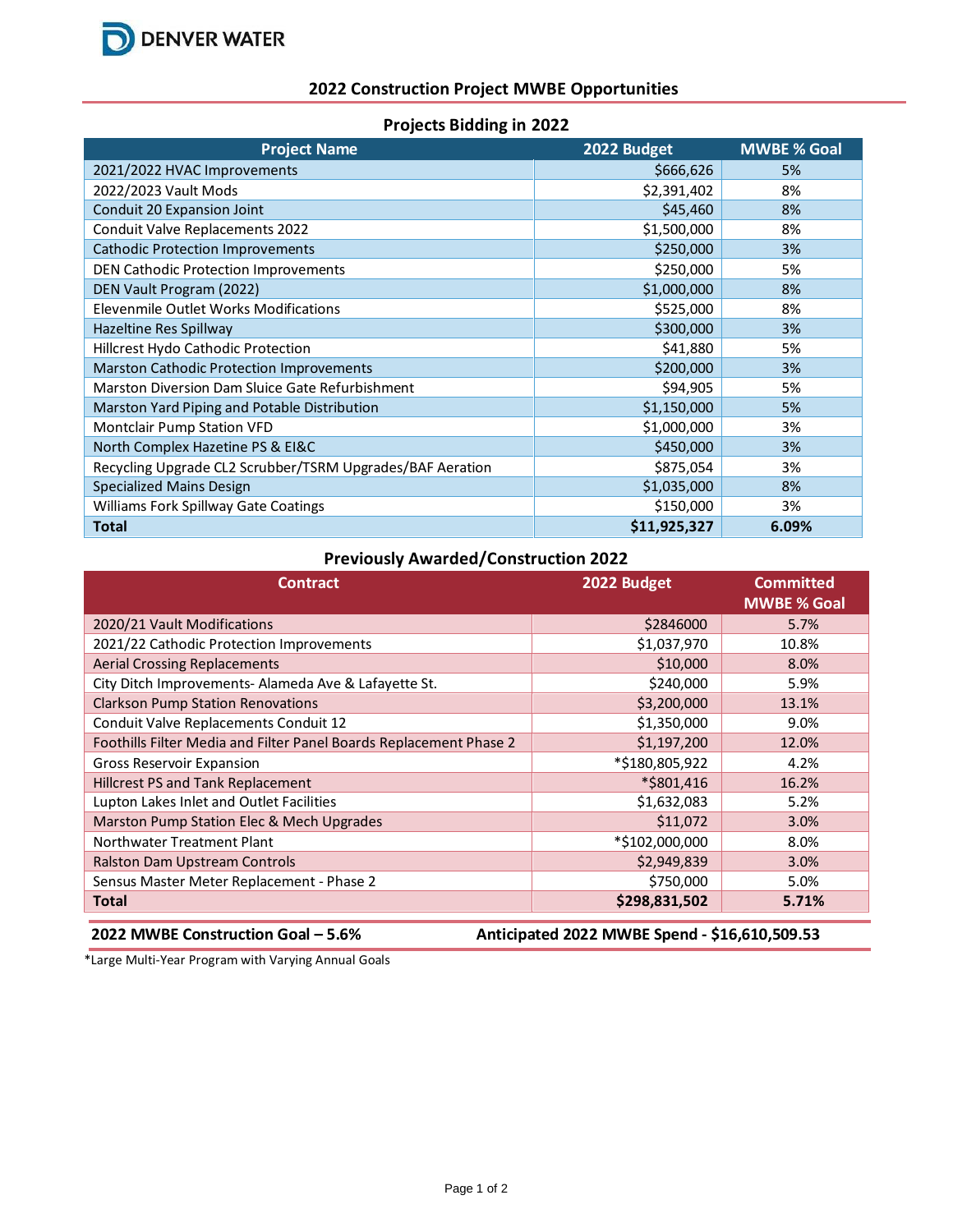

## **2022 Construction Project MWBE Opportunities**

| <b>Projects Bidding in 2022</b> |  |  |
|---------------------------------|--|--|
|---------------------------------|--|--|

| <b>Project Name</b>                                       | 2022 Budget  | <b>MWBE % Goal</b> |
|-----------------------------------------------------------|--------------|--------------------|
| 2021/2022 HVAC Improvements                               | \$666,626    | 5%                 |
| 2022/2023 Vault Mods                                      | \$2,391,402  | 8%                 |
| Conduit 20 Expansion Joint                                | \$45,460     | 8%                 |
| Conduit Valve Replacements 2022                           | \$1,500,000  | 8%                 |
| <b>Cathodic Protection Improvements</b>                   | \$250,000    | 3%                 |
| DEN Cathodic Protection Improvements                      | \$250,000    | 5%                 |
| DEN Vault Program (2022)                                  | \$1,000,000  | 8%                 |
| Elevenmile Outlet Works Modifications                     | \$525,000    | 8%                 |
| Hazeltine Res Spillway                                    | \$300,000    | 3%                 |
| Hillcrest Hydo Cathodic Protection                        | \$41,880     | 5%                 |
| <b>Marston Cathodic Protection Improvements</b>           | \$200,000    | 3%                 |
| Marston Diversion Dam Sluice Gate Refurbishment           | \$94,905     | 5%                 |
| Marston Yard Piping and Potable Distribution              | \$1,150,000  | 5%                 |
| <b>Montclair Pump Station VFD</b>                         | \$1,000,000  | 3%                 |
| North Complex Hazetine PS & EI&C                          | \$450,000    | 3%                 |
| Recycling Upgrade CL2 Scrubber/TSRM Upgrades/BAF Aeration | \$875,054    | 3%                 |
| <b>Specialized Mains Design</b>                           | \$1,035,000  | 8%                 |
| Williams Fork Spillway Gate Coatings                      | \$150,000    | 3%                 |
| <b>Total</b>                                              | \$11,925,327 | 6.09%              |

## **Previously Awarded/Construction 2022**

| <b>Contract</b>                                                                     | 2022 Budget    | <b>Committed</b><br><b>MWBE % Goal</b> |  |  |
|-------------------------------------------------------------------------------------|----------------|----------------------------------------|--|--|
| 2020/21 Vault Modifications                                                         | \$2846000      | 5.7%                                   |  |  |
| 2021/22 Cathodic Protection Improvements                                            | \$1,037,970    | 10.8%                                  |  |  |
| <b>Aerial Crossing Replacements</b>                                                 | \$10,000       | 8.0%                                   |  |  |
| City Ditch Improvements- Alameda Ave & Lafayette St.                                | \$240,000      | 5.9%                                   |  |  |
| <b>Clarkson Pump Station Renovations</b>                                            | \$3,200,000    | 13.1%                                  |  |  |
| Conduit Valve Replacements Conduit 12                                               | \$1,350,000    | 9.0%                                   |  |  |
| Foothills Filter Media and Filter Panel Boards Replacement Phase 2                  | \$1,197,200    | 12.0%                                  |  |  |
| Gross Reservoir Expansion                                                           | *\$180,805,922 | 4.2%                                   |  |  |
| <b>Hillcrest PS and Tank Replacement</b>                                            | *\$801,416     | 16.2%                                  |  |  |
| Lupton Lakes Inlet and Outlet Facilities                                            | \$1,632,083    | 5.2%                                   |  |  |
| Marston Pump Station Elec & Mech Upgrades                                           | \$11,072       | 3.0%                                   |  |  |
| Northwater Treatment Plant                                                          | *\$102,000,000 | 8.0%                                   |  |  |
| Ralston Dam Upstream Controls                                                       | \$2,949,839    | 3.0%                                   |  |  |
| Sensus Master Meter Replacement - Phase 2                                           | \$750,000      | 5.0%                                   |  |  |
| <b>Total</b>                                                                        | \$298,831,502  | 5.71%                                  |  |  |
| Anticipated 2022 MWBE Spend - \$16,610,509.53<br>2022 MWBE Construction Goal - 5.6% |                |                                        |  |  |

\*Large Multi-Year Program with Varying Annual Goals